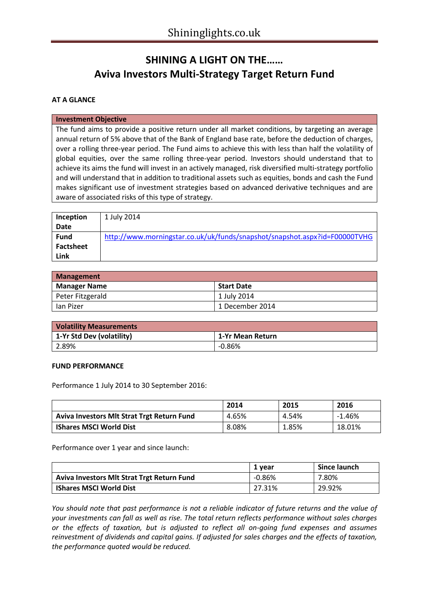# **SHINING A LIGHT ON THE…… Aviva Investors Multi-Strategy Target Return Fund**

## **AT A GLANCE**

#### **Investment Objective**

The fund aims to provide a positive return under all market conditions, by targeting an average annual return of 5% above that of the Bank of England base rate, before the deduction of charges, over a rolling three-year period. The Fund aims to achieve this with less than half the volatility of global equities, over the same rolling three-year period. Investors should understand that to achieve its aims the fund will invest in an actively managed, risk diversified multi-strategy portfolio and will understand that in addition to traditional assets such as equities, bonds and cash the Fund makes significant use of investment strategies based on advanced derivative techniques and are aware of associated risks of this type of strategy.

| Inception        | 1 July 2014                                                                |
|------------------|----------------------------------------------------------------------------|
| Date             |                                                                            |
| <b>Fund</b>      | http://www.morningstar.co.uk/uk/funds/snapshot/snapshot.aspx?id=F00000TVHG |
| <b>Factsheet</b> |                                                                            |
| Link             |                                                                            |

| Management          |                   |  |  |  |
|---------------------|-------------------|--|--|--|
| <b>Manager Name</b> | <b>Start Date</b> |  |  |  |
| Peter Fitzgerald    | 1 July 2014       |  |  |  |
| lan Pizer           | 1 December 2014   |  |  |  |

| <b>Volatility Measurements</b> |                  |  |  |  |
|--------------------------------|------------------|--|--|--|
| 1-Yr Std Dev (volatility)      | 1-Yr Mean Return |  |  |  |
| 2.89%                          | -0.86%           |  |  |  |

#### **FUND PERFORMANCE**

Performance 1 July 2014 to 30 September 2016:

|                                                   | 2014  | 2015  | 2016     |
|---------------------------------------------------|-------|-------|----------|
| <b>Aviva Investors MIt Strat Trgt Return Fund</b> | 4.65% | 4.54% | $-1.46%$ |
| <b>IShares MSCI World Dist</b>                    | 8.08% | 1.85% | 18.01%   |

Performance over 1 year and since launch:

|                                                   | 1 vear    | Since launch |
|---------------------------------------------------|-----------|--------------|
| <b>Aviva Investors MIt Strat Trgt Return Fund</b> | $-0.86\%$ | 7.80%        |
| <b>IShares MSCI World Dist</b>                    | 27.31%    | 29.92%       |

*You should note that past performance is not a reliable indicator of future returns and the value of your investments can fall as well as rise. The total return reflects performance without sales charges or the effects of taxation, but is adjusted to reflect all on-going fund expenses and assumes reinvestment of dividends and capital gains. If adjusted for sales charges and the effects of taxation, the performance quoted would be reduced.*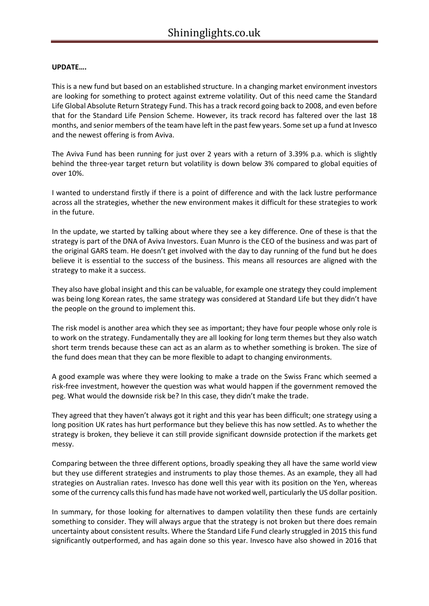### **UPDATE….**

This is a new fund but based on an established structure. In a changing market environment investors are looking for something to protect against extreme volatility. Out of this need came the Standard Life Global Absolute Return Strategy Fund. This has a track record going back to 2008, and even before that for the Standard Life Pension Scheme. However, its track record has faltered over the last 18 months, and senior members of the team have left in the past few years. Some set up a fund at Invesco and the newest offering is from Aviva.

The Aviva Fund has been running for just over 2 years with a return of 3.39% p.a. which is slightly behind the three-year target return but volatility is down below 3% compared to global equities of over 10%.

I wanted to understand firstly if there is a point of difference and with the lack lustre performance across all the strategies, whether the new environment makes it difficult for these strategies to work in the future.

In the update, we started by talking about where they see a key difference. One of these is that the strategy is part of the DNA of Aviva Investors. Euan Munro is the CEO of the business and was part of the original GARS team. He doesn't get involved with the day to day running of the fund but he does believe it is essential to the success of the business. This means all resources are aligned with the strategy to make it a success.

They also have global insight and this can be valuable, for example one strategy they could implement was being long Korean rates, the same strategy was considered at Standard Life but they didn't have the people on the ground to implement this.

The risk model is another area which they see as important; they have four people whose only role is to work on the strategy. Fundamentally they are all looking for long term themes but they also watch short term trends because these can act as an alarm as to whether something is broken. The size of the fund does mean that they can be more flexible to adapt to changing environments.

A good example was where they were looking to make a trade on the Swiss Franc which seemed a risk-free investment, however the question was what would happen if the government removed the peg. What would the downside risk be? In this case, they didn't make the trade.

They agreed that they haven't always got it right and this year has been difficult; one strategy using a long position UK rates has hurt performance but they believe this has now settled. As to whether the strategy is broken, they believe it can still provide significant downside protection if the markets get messy.

Comparing between the three different options, broadly speaking they all have the same world view but they use different strategies and instruments to play those themes. As an example, they all had strategies on Australian rates. Invesco has done well this year with its position on the Yen, whereas some of the currency calls this fund has made have not worked well, particularly the US dollar position.

In summary, for those looking for alternatives to dampen volatility then these funds are certainly something to consider. They will always argue that the strategy is not broken but there does remain uncertainty about consistent results. Where the Standard Life Fund clearly struggled in 2015 this fund significantly outperformed, and has again done so this year. Invesco have also showed in 2016 that